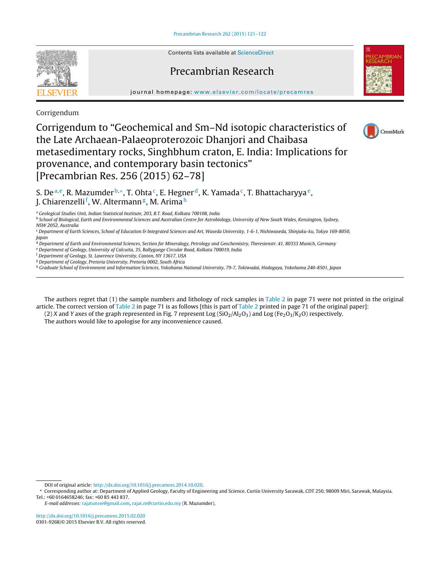Contents lists available at [ScienceDirect](http://www.sciencedirect.com/science/journal/03019268)

## Precambrian Research

journal homepage: [www.elsevier.com/locate/precamres](http://www.elsevier.com/locate/precamres)

Corrigendum

## Corrigendum to "Geochemical and Sm–Nd isotopic characteristics of the Late Archaean-Palaeoproterozoic Dhanjori and Chaibasa metasedimentary rocks, Singhbhum craton, E. India: Implications for provenance, and contemporary basin tectonics" [Precambrian Res. 256 (2015) 62–78]



S. De<sup>a,e</sup>, R. Mazumder <sup>b,\*</sup>, T. Ohta<sup>c</sup>, E. Hegner<sup>d</sup>, K. Yamada<sup>c</sup>, T. Bhattacharyya<sup>e</sup>, J. Chiarenzelli<sup>f</sup>, W. Altermann<sup>g</sup>, M. Arima<sup>h</sup>

<sup>a</sup> Geological Studies Unit, Indian Statistical Institute, 203, B.T. Road, Kolkata 700108, India

**b School of Biological, Earth and Environmental Sciences and Australian Centre for Astrobiology**, University of New South Wales, Kensington, Sydney, NSW 2052, Australia

<sup>c</sup> Department of Earth Sciences, School of Education & Integrated Sciences and Art, Waseda University, 1-6-1, Nishiwaseda, Shinjuku-ku, Tokyo 169-8050, Japan

<sup>d</sup> Department of Earth and Environmental Sciences, Section for Mineralogy, Petrology and Geochemistry, Theresienstr. 41, 80333 Munich, Germany

<sup>e</sup> Department of Geology, University of Calcutta, 35, Ballygunge Circular Road, Kolkata 700019, India

<sup>f</sup> Department of Geology, St. Lawrence University, Canton, NY 13617, USA

<sup>g</sup> Department of Geology, Pretoria University, Pretoria 0002, South Africa

<sup>h</sup> Graduate School of Environment and Information Sciences, Yokohama National University, 79-7, Tokiwadai, Hodogaya, Yokohama 240-8501, Japan

The authors regret that (1) the sample numbers and lithology of rock samples in [Table](#page-1-0) 2 in page 71 were not printed in the original article. The correct version of [Table](#page-1-0) 2 in page 71 is as follows [this is part of [Table](#page-1-0) 2 printed in page 71 of the original paper]:

(2) X and Y axes of the graph represented in Fig. 7 represent Log ( $SiO<sub>2</sub>/Al<sub>2</sub>O<sub>3</sub>$ ) and Log (Fe<sub>2</sub>O<sub>3</sub>/K<sub>2</sub>O) respectively.

The authors would like to apologise for any inconvenience caused.



DOI of original article: <http://dx.doi.org/10.1016/j.precamres.2014.10.020>.

<sup>∗</sup> Corresponding author at: Department of Applied Geology, Faculty of Engineering and Science, Curtin University Sarawak, CDT 250, 98009 Miri, Sarawak, Malaysia. Tel.: +60 0164658246; fax: +60 85 443 837.

E-mail addresses: [rajatunsw@gmail.com](mailto:rajatunsw@gmail.com), [rajat.m@curtin.edu.my](mailto:rajat.m@curtin.edu.my) (R. Mazumder).